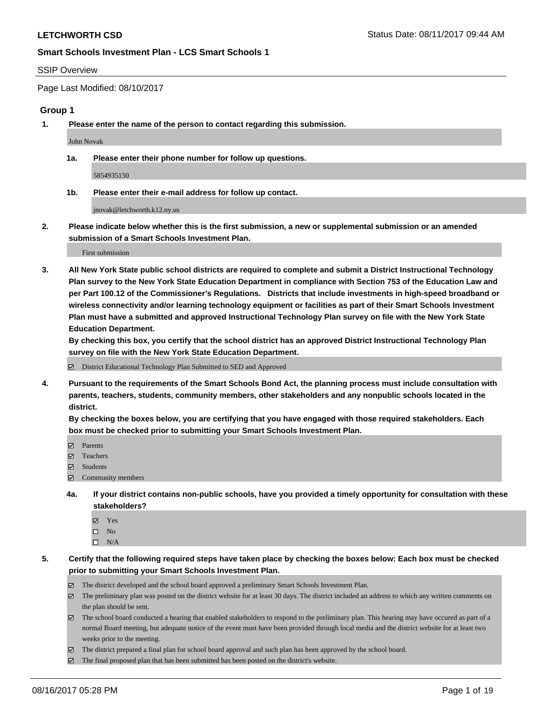#### SSIP Overview

Page Last Modified: 08/10/2017

### **Group 1**

**1. Please enter the name of the person to contact regarding this submission.**

John Novak

**1a. Please enter their phone number for follow up questions.**

5854935150

**1b. Please enter their e-mail address for follow up contact.**

jnovak@letchworth.k12.ny.us

**2. Please indicate below whether this is the first submission, a new or supplemental submission or an amended submission of a Smart Schools Investment Plan.**

First submission

**3. All New York State public school districts are required to complete and submit a District Instructional Technology Plan survey to the New York State Education Department in compliance with Section 753 of the Education Law and per Part 100.12 of the Commissioner's Regulations. Districts that include investments in high-speed broadband or wireless connectivity and/or learning technology equipment or facilities as part of their Smart Schools Investment Plan must have a submitted and approved Instructional Technology Plan survey on file with the New York State Education Department.** 

**By checking this box, you certify that the school district has an approved District Instructional Technology Plan survey on file with the New York State Education Department.**

District Educational Technology Plan Submitted to SED and Approved

**4. Pursuant to the requirements of the Smart Schools Bond Act, the planning process must include consultation with parents, teachers, students, community members, other stakeholders and any nonpublic schools located in the district.** 

**By checking the boxes below, you are certifying that you have engaged with those required stakeholders. Each box must be checked prior to submitting your Smart Schools Investment Plan.**

- **マ** Parents
- □ Teachers
- Students
- $\Xi$  Community members
- **4a. If your district contains non-public schools, have you provided a timely opportunity for consultation with these stakeholders?**
	- Yes
	- $\hfill \square$  No
	- $\square$  N/A
- **5. Certify that the following required steps have taken place by checking the boxes below: Each box must be checked prior to submitting your Smart Schools Investment Plan.**
	- The district developed and the school board approved a preliminary Smart Schools Investment Plan.
	- $\boxtimes$  The preliminary plan was posted on the district website for at least 30 days. The district included an address to which any written comments on the plan should be sent.
	- $\boxtimes$  The school board conducted a hearing that enabled stakeholders to respond to the preliminary plan. This hearing may have occured as part of a normal Board meeting, but adequate notice of the event must have been provided through local media and the district website for at least two weeks prior to the meeting.
	- The district prepared a final plan for school board approval and such plan has been approved by the school board.
	- $\boxtimes$  The final proposed plan that has been submitted has been posted on the district's website.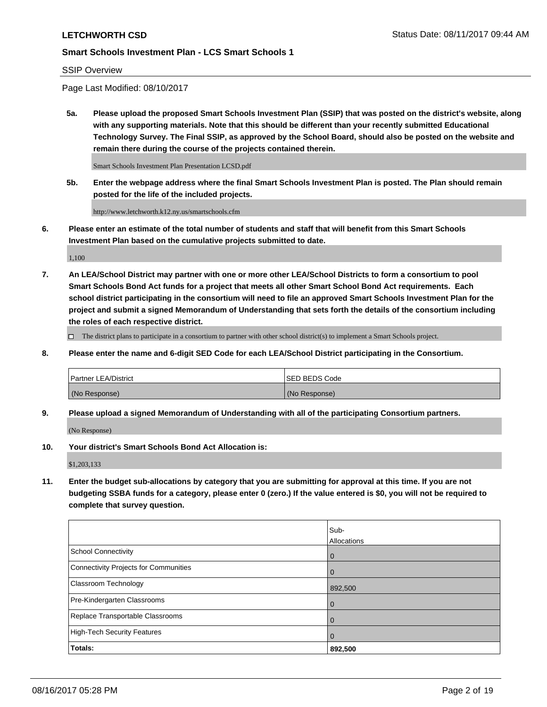### SSIP Overview

Page Last Modified: 08/10/2017

**5a. Please upload the proposed Smart Schools Investment Plan (SSIP) that was posted on the district's website, along with any supporting materials. Note that this should be different than your recently submitted Educational Technology Survey. The Final SSIP, as approved by the School Board, should also be posted on the website and remain there during the course of the projects contained therein.**

Smart Schools Investment Plan Presentation LCSD.pdf

**5b. Enter the webpage address where the final Smart Schools Investment Plan is posted. The Plan should remain posted for the life of the included projects.**

http://www.letchworth.k12.ny.us/smartschools.cfm

**6. Please enter an estimate of the total number of students and staff that will benefit from this Smart Schools Investment Plan based on the cumulative projects submitted to date.**

1,100

**7. An LEA/School District may partner with one or more other LEA/School Districts to form a consortium to pool Smart Schools Bond Act funds for a project that meets all other Smart School Bond Act requirements. Each school district participating in the consortium will need to file an approved Smart Schools Investment Plan for the project and submit a signed Memorandum of Understanding that sets forth the details of the consortium including the roles of each respective district.**

 $\Box$  The district plans to participate in a consortium to partner with other school district(s) to implement a Smart Schools project.

**8. Please enter the name and 6-digit SED Code for each LEA/School District participating in the Consortium.**

| <b>Partner LEA/District</b> | <b>ISED BEDS Code</b> |
|-----------------------------|-----------------------|
| (No Response)               | (No Response)         |

**9. Please upload a signed Memorandum of Understanding with all of the participating Consortium partners.**

(No Response)

**10. Your district's Smart Schools Bond Act Allocation is:**

\$1,203,133

**11. Enter the budget sub-allocations by category that you are submitting for approval at this time. If you are not budgeting SSBA funds for a category, please enter 0 (zero.) If the value entered is \$0, you will not be required to complete that survey question.**

|                                       | Sub-<br>Allocations |
|---------------------------------------|---------------------|
|                                       |                     |
| <b>School Connectivity</b>            | 0                   |
| Connectivity Projects for Communities | $\Omega$            |
| <b>Classroom Technology</b>           | 892,500             |
| Pre-Kindergarten Classrooms           | 0                   |
| Replace Transportable Classrooms      | O                   |
| <b>High-Tech Security Features</b>    | 0                   |
| Totals:                               | 892,500             |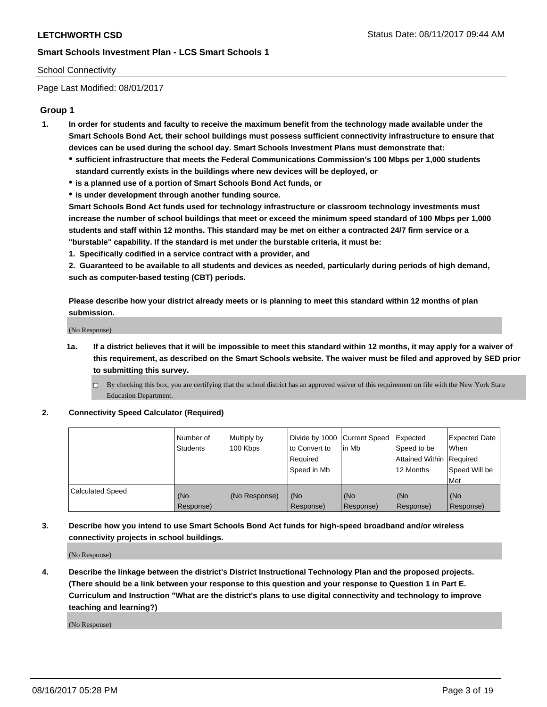## School Connectivity

Page Last Modified: 08/01/2017

## **Group 1**

- **1. In order for students and faculty to receive the maximum benefit from the technology made available under the Smart Schools Bond Act, their school buildings must possess sufficient connectivity infrastructure to ensure that devices can be used during the school day. Smart Schools Investment Plans must demonstrate that:**
	- **sufficient infrastructure that meets the Federal Communications Commission's 100 Mbps per 1,000 students standard currently exists in the buildings where new devices will be deployed, or**
	- **is a planned use of a portion of Smart Schools Bond Act funds, or**
	- **is under development through another funding source.**

**Smart Schools Bond Act funds used for technology infrastructure or classroom technology investments must increase the number of school buildings that meet or exceed the minimum speed standard of 100 Mbps per 1,000 students and staff within 12 months. This standard may be met on either a contracted 24/7 firm service or a "burstable" capability. If the standard is met under the burstable criteria, it must be:**

**1. Specifically codified in a service contract with a provider, and**

**2. Guaranteed to be available to all students and devices as needed, particularly during periods of high demand, such as computer-based testing (CBT) periods.**

**Please describe how your district already meets or is planning to meet this standard within 12 months of plan submission.**

(No Response)

- **1a. If a district believes that it will be impossible to meet this standard within 12 months, it may apply for a waiver of this requirement, as described on the Smart Schools website. The waiver must be filed and approved by SED prior to submitting this survey.**
	- By checking this box, you are certifying that the school district has an approved waiver of this requirement on file with the New York State Education Department.

#### **2. Connectivity Speed Calculator (Required)**

|                         | l Number of<br><b>Students</b> | Multiply by<br>100 Kbps | Divide by 1000 Current Speed<br>to Convert to<br>Required<br>l Speed in Mb | lin Mb           | Expected<br>Speed to be<br>Attained Within Required<br>12 Months | Expected Date<br>When<br>Speed Will be<br><b>Met</b> |
|-------------------------|--------------------------------|-------------------------|----------------------------------------------------------------------------|------------------|------------------------------------------------------------------|------------------------------------------------------|
| <b>Calculated Speed</b> | (No<br>Response)               | (No Response)           | (No<br>Response)                                                           | (No<br>Response) | (No<br>Response)                                                 | l (No<br>Response)                                   |

## **3. Describe how you intend to use Smart Schools Bond Act funds for high-speed broadband and/or wireless connectivity projects in school buildings.**

(No Response)

**4. Describe the linkage between the district's District Instructional Technology Plan and the proposed projects. (There should be a link between your response to this question and your response to Question 1 in Part E. Curriculum and Instruction "What are the district's plans to use digital connectivity and technology to improve teaching and learning?)**

(No Response)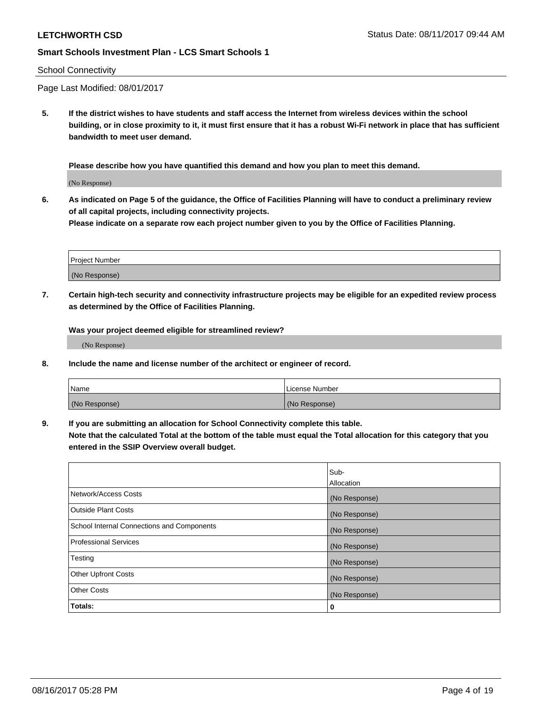#### School Connectivity

Page Last Modified: 08/01/2017

**5. If the district wishes to have students and staff access the Internet from wireless devices within the school building, or in close proximity to it, it must first ensure that it has a robust Wi-Fi network in place that has sufficient bandwidth to meet user demand.**

**Please describe how you have quantified this demand and how you plan to meet this demand.**

(No Response)

**6. As indicated on Page 5 of the guidance, the Office of Facilities Planning will have to conduct a preliminary review of all capital projects, including connectivity projects.**

**Please indicate on a separate row each project number given to you by the Office of Facilities Planning.**

| Project Number |  |
|----------------|--|
|                |  |
| (No Response)  |  |

**7. Certain high-tech security and connectivity infrastructure projects may be eligible for an expedited review process as determined by the Office of Facilities Planning.**

**Was your project deemed eligible for streamlined review?**

(No Response)

**8. Include the name and license number of the architect or engineer of record.**

| Name          | License Number |
|---------------|----------------|
| (No Response) | (No Response)  |

**9. If you are submitting an allocation for School Connectivity complete this table.**

**Note that the calculated Total at the bottom of the table must equal the Total allocation for this category that you entered in the SSIP Overview overall budget.** 

|                                            | Sub-              |
|--------------------------------------------|-------------------|
|                                            | <b>Allocation</b> |
| Network/Access Costs                       | (No Response)     |
| <b>Outside Plant Costs</b>                 | (No Response)     |
| School Internal Connections and Components | (No Response)     |
| <b>Professional Services</b>               | (No Response)     |
| Testing                                    | (No Response)     |
| <b>Other Upfront Costs</b>                 | (No Response)     |
| <b>Other Costs</b>                         | (No Response)     |
| Totals:                                    | 0                 |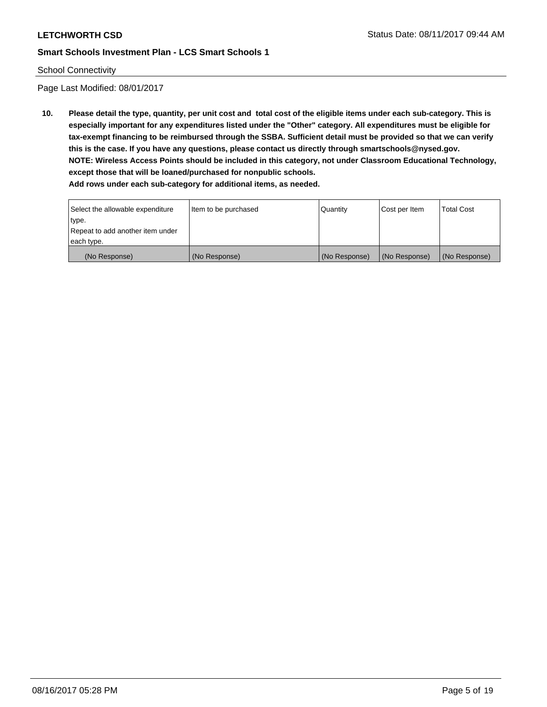### School Connectivity

Page Last Modified: 08/01/2017

**10. Please detail the type, quantity, per unit cost and total cost of the eligible items under each sub-category. This is especially important for any expenditures listed under the "Other" category. All expenditures must be eligible for tax-exempt financing to be reimbursed through the SSBA. Sufficient detail must be provided so that we can verify this is the case. If you have any questions, please contact us directly through smartschools@nysed.gov. NOTE: Wireless Access Points should be included in this category, not under Classroom Educational Technology, except those that will be loaned/purchased for nonpublic schools.**

| Select the allowable expenditure | Item to be purchased | Quantity      | Cost per Item | Total Cost    |
|----------------------------------|----------------------|---------------|---------------|---------------|
| type.                            |                      |               |               |               |
| Repeat to add another item under |                      |               |               |               |
| each type.                       |                      |               |               |               |
| (No Response)                    | (No Response)        | (No Response) | (No Response) | (No Response) |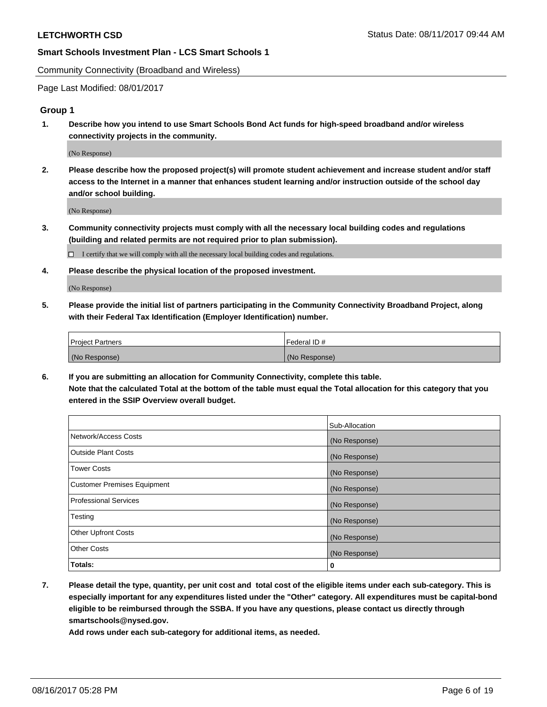Community Connectivity (Broadband and Wireless)

Page Last Modified: 08/01/2017

## **Group 1**

**1. Describe how you intend to use Smart Schools Bond Act funds for high-speed broadband and/or wireless connectivity projects in the community.**

(No Response)

**2. Please describe how the proposed project(s) will promote student achievement and increase student and/or staff access to the Internet in a manner that enhances student learning and/or instruction outside of the school day and/or school building.**

(No Response)

**3. Community connectivity projects must comply with all the necessary local building codes and regulations (building and related permits are not required prior to plan submission).**

 $\Box$  I certify that we will comply with all the necessary local building codes and regulations.

**4. Please describe the physical location of the proposed investment.**

(No Response)

**5. Please provide the initial list of partners participating in the Community Connectivity Broadband Project, along with their Federal Tax Identification (Employer Identification) number.**

| <b>Project Partners</b> | Federal ID#     |
|-------------------------|-----------------|
| (No Response)           | l (No Response) |

**6. If you are submitting an allocation for Community Connectivity, complete this table. Note that the calculated Total at the bottom of the table must equal the Total allocation for this category that you entered in the SSIP Overview overall budget.**

|                                    | Sub-Allocation |
|------------------------------------|----------------|
| Network/Access Costs               | (No Response)  |
| Outside Plant Costs                | (No Response)  |
| <b>Tower Costs</b>                 | (No Response)  |
| <b>Customer Premises Equipment</b> | (No Response)  |
| <b>Professional Services</b>       | (No Response)  |
| Testing                            | (No Response)  |
| <b>Other Upfront Costs</b>         | (No Response)  |
| <b>Other Costs</b>                 | (No Response)  |
| Totals:                            | 0              |

**7. Please detail the type, quantity, per unit cost and total cost of the eligible items under each sub-category. This is especially important for any expenditures listed under the "Other" category. All expenditures must be capital-bond eligible to be reimbursed through the SSBA. If you have any questions, please contact us directly through smartschools@nysed.gov.**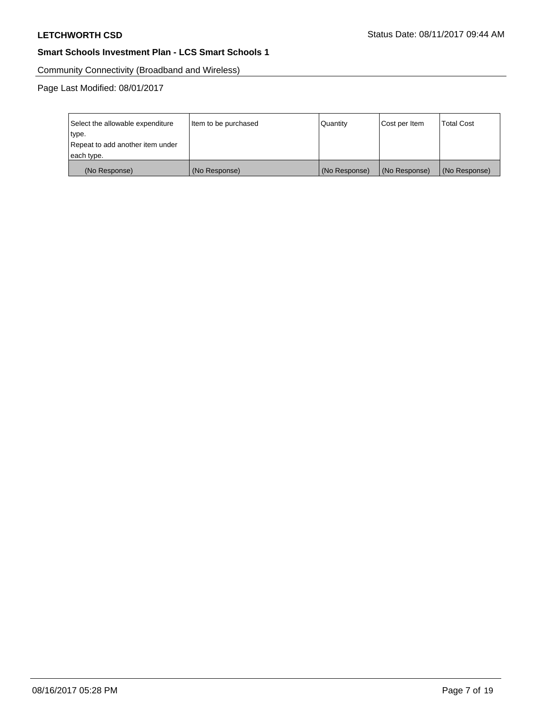Community Connectivity (Broadband and Wireless)

Page Last Modified: 08/01/2017

| Select the allowable expenditure | Item to be purchased | Quantity      | Cost per Item | <b>Total Cost</b> |
|----------------------------------|----------------------|---------------|---------------|-------------------|
| type.                            |                      |               |               |                   |
| Repeat to add another item under |                      |               |               |                   |
| each type.                       |                      |               |               |                   |
| (No Response)                    | (No Response)        | (No Response) | (No Response) | (No Response)     |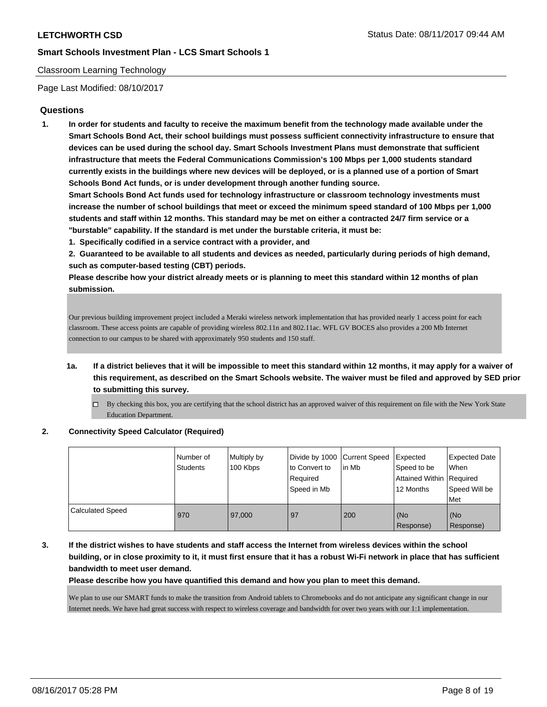## Classroom Learning Technology

Page Last Modified: 08/10/2017

## **Questions**

**1. In order for students and faculty to receive the maximum benefit from the technology made available under the Smart Schools Bond Act, their school buildings must possess sufficient connectivity infrastructure to ensure that devices can be used during the school day. Smart Schools Investment Plans must demonstrate that sufficient infrastructure that meets the Federal Communications Commission's 100 Mbps per 1,000 students standard currently exists in the buildings where new devices will be deployed, or is a planned use of a portion of Smart Schools Bond Act funds, or is under development through another funding source.**

**Smart Schools Bond Act funds used for technology infrastructure or classroom technology investments must increase the number of school buildings that meet or exceed the minimum speed standard of 100 Mbps per 1,000 students and staff within 12 months. This standard may be met on either a contracted 24/7 firm service or a "burstable" capability. If the standard is met under the burstable criteria, it must be:**

**1. Specifically codified in a service contract with a provider, and**

**2. Guaranteed to be available to all students and devices as needed, particularly during periods of high demand, such as computer-based testing (CBT) periods.**

**Please describe how your district already meets or is planning to meet this standard within 12 months of plan submission.**

Our previous building improvement project included a Meraki wireless network implementation that has provided nearly 1 access point for each classroom. These access points are capable of providing wireless 802.11n and 802.11ac. WFL GV BOCES also provides a 200 Mb Internet connection to our campus to be shared with approximately 950 students and 150 staff.

- **1a. If a district believes that it will be impossible to meet this standard within 12 months, it may apply for a waiver of this requirement, as described on the Smart Schools website. The waiver must be filed and approved by SED prior to submitting this survey.**
	- $\Box$  By checking this box, you are certifying that the school district has an approved waiver of this requirement on file with the New York State Education Department.

### **2. Connectivity Speed Calculator (Required)**

|                         | I Number of<br><b>Students</b> | Multiply by<br>100 Kbps | Divide by 1000   Current Speed<br>to Convert to<br>Required<br>Speed in Mb | lin Mb | Expected<br>Speed to be<br><b>Attained Within Required</b><br>12 Months | <b>Expected Date</b><br><b>When</b><br>Speed Will be<br>Met |
|-------------------------|--------------------------------|-------------------------|----------------------------------------------------------------------------|--------|-------------------------------------------------------------------------|-------------------------------------------------------------|
| <b>Calculated Speed</b> | 970                            | 97,000                  | 97                                                                         | 200    | (No<br>Response)                                                        | (No<br>Response)                                            |

**3. If the district wishes to have students and staff access the Internet from wireless devices within the school building, or in close proximity to it, it must first ensure that it has a robust Wi-Fi network in place that has sufficient bandwidth to meet user demand.**

**Please describe how you have quantified this demand and how you plan to meet this demand.**

We plan to use our SMART funds to make the transition from Android tablets to Chromebooks and do not anticipate any significant change in our Internet needs. We have had great success with respect to wireless coverage and bandwidth for over two years with our 1:1 implementation.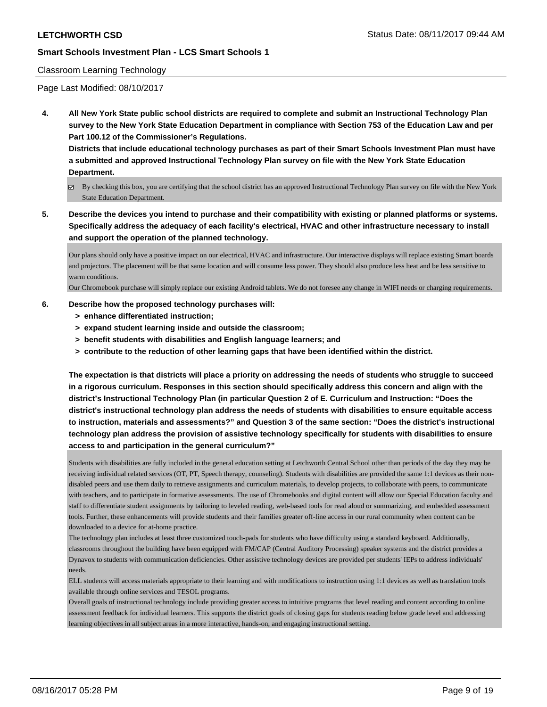### Classroom Learning Technology

Page Last Modified: 08/10/2017

**4. All New York State public school districts are required to complete and submit an Instructional Technology Plan survey to the New York State Education Department in compliance with Section 753 of the Education Law and per Part 100.12 of the Commissioner's Regulations.**

**Districts that include educational technology purchases as part of their Smart Schools Investment Plan must have a submitted and approved Instructional Technology Plan survey on file with the New York State Education Department.**

- By checking this box, you are certifying that the school district has an approved Instructional Technology Plan survey on file with the New York State Education Department.
- **5. Describe the devices you intend to purchase and their compatibility with existing or planned platforms or systems. Specifically address the adequacy of each facility's electrical, HVAC and other infrastructure necessary to install and support the operation of the planned technology.**

Our plans should only have a positive impact on our electrical, HVAC and infrastructure. Our interactive displays will replace existing Smart boards and projectors. The placement will be that same location and will consume less power. They should also produce less heat and be less sensitive to warm conditions.

Our Chromebook purchase will simply replace our existing Android tablets. We do not foresee any change in WIFI needs or charging requirements.

#### **6. Describe how the proposed technology purchases will:**

- **> enhance differentiated instruction;**
- **> expand student learning inside and outside the classroom;**
- **> benefit students with disabilities and English language learners; and**
- **> contribute to the reduction of other learning gaps that have been identified within the district.**

**The expectation is that districts will place a priority on addressing the needs of students who struggle to succeed in a rigorous curriculum. Responses in this section should specifically address this concern and align with the district's Instructional Technology Plan (in particular Question 2 of E. Curriculum and Instruction: "Does the district's instructional technology plan address the needs of students with disabilities to ensure equitable access to instruction, materials and assessments?" and Question 3 of the same section: "Does the district's instructional technology plan address the provision of assistive technology specifically for students with disabilities to ensure access to and participation in the general curriculum?"**

Students with disabilities are fully included in the general education setting at Letchworth Central School other than periods of the day they may be receiving individual related services (OT, PT, Speech therapy, counseling). Students with disabilities are provided the same 1:1 devices as their nondisabled peers and use them daily to retrieve assignments and curriculum materials, to develop projects, to collaborate with peers, to communicate with teachers, and to participate in formative assessments. The use of Chromebooks and digital content will allow our Special Education faculty and staff to differentiate student assignments by tailoring to leveled reading, web-based tools for read aloud or summarizing, and embedded assessment tools. Further, these enhancements will provide students and their families greater off-line access in our rural community when content can be downloaded to a device for at-home practice.

The technology plan includes at least three customized touch-pads for students who have difficulty using a standard keyboard. Additionally, classrooms throughout the building have been equipped with FM/CAP (Central Auditory Processing) speaker systems and the district provides a Dynavox to students with communication deficiencies. Other assistive technology devices are provided per students' IEPs to address individuals' needs.

ELL students will access materials appropriate to their learning and with modifications to instruction using 1:1 devices as well as translation tools available through online services and TESOL programs.

Overall goals of instructional technology include providing greater access to intuitive programs that level reading and content according to online assessment feedback for individual learners. This supports the district goals of closing gaps for students reading below grade level and addressing learning objectives in all subject areas in a more interactive, hands-on, and engaging instructional setting.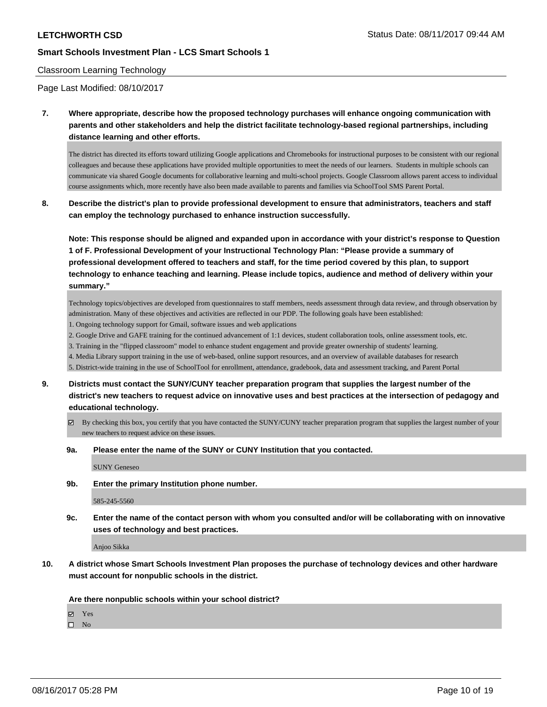#### Classroom Learning Technology

Page Last Modified: 08/10/2017

**7. Where appropriate, describe how the proposed technology purchases will enhance ongoing communication with parents and other stakeholders and help the district facilitate technology-based regional partnerships, including distance learning and other efforts.**

The district has directed its efforts toward utilizing Google applications and Chromebooks for instructional purposes to be consistent with our regional colleagues and because these applications have provided multiple opportunities to meet the needs of our learners. Students in multiple schools can communicate via shared Google documents for collaborative learning and multi-school projects. Google Classroom allows parent access to individual course assignments which, more recently have also been made available to parents and families via SchoolTool SMS Parent Portal.

**8. Describe the district's plan to provide professional development to ensure that administrators, teachers and staff can employ the technology purchased to enhance instruction successfully.**

**Note: This response should be aligned and expanded upon in accordance with your district's response to Question 1 of F. Professional Development of your Instructional Technology Plan: "Please provide a summary of professional development offered to teachers and staff, for the time period covered by this plan, to support technology to enhance teaching and learning. Please include topics, audience and method of delivery within your summary."**

Technology topics/objectives are developed from questionnaires to staff members, needs assessment through data review, and through observation by administration. Many of these objectives and activities are reflected in our PDP. The following goals have been established:

1. Ongoing technology support for Gmail, software issues and web applications

2. Google Drive and GAFE training for the continued advancement of 1:1 devices, student collaboration tools, online assessment tools, etc.

3. Training in the "flipped classroom" model to enhance student engagement and provide greater ownership of students' learning.

4. Media Library support training in the use of web-based, online support resources, and an overview of available databases for research

5. District-wide training in the use of SchoolTool for enrollment, attendance, gradebook, data and assessment tracking, and Parent Portal

- **9. Districts must contact the SUNY/CUNY teacher preparation program that supplies the largest number of the district's new teachers to request advice on innovative uses and best practices at the intersection of pedagogy and educational technology.**
	- $\boxtimes$  By checking this box, you certify that you have contacted the SUNY/CUNY teacher preparation program that supplies the largest number of your new teachers to request advice on these issues.
	- **9a. Please enter the name of the SUNY or CUNY Institution that you contacted.**

SUNY Geneseo

**9b. Enter the primary Institution phone number.**

585-245-5560

**9c. Enter the name of the contact person with whom you consulted and/or will be collaborating with on innovative uses of technology and best practices.**

Anjoo Sikka

**10. A district whose Smart Schools Investment Plan proposes the purchase of technology devices and other hardware must account for nonpublic schools in the district.**

**Are there nonpublic schools within your school district?**

Yes

 $\hfill \square$  No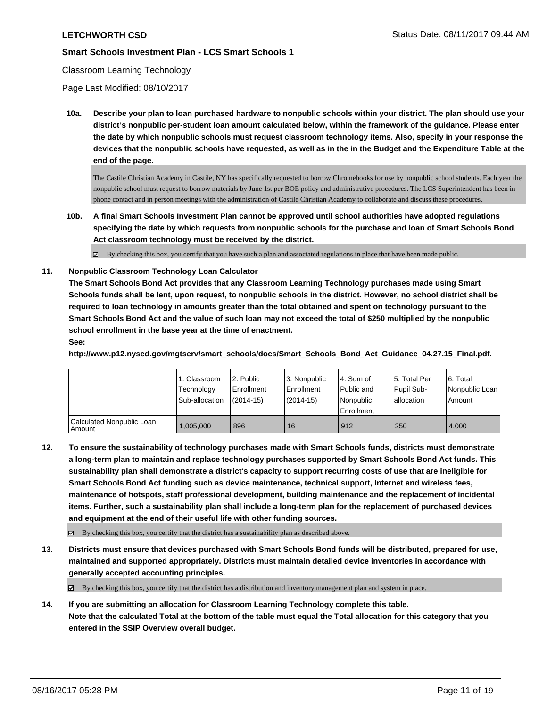## Classroom Learning Technology

Page Last Modified: 08/10/2017

**10a. Describe your plan to loan purchased hardware to nonpublic schools within your district. The plan should use your district's nonpublic per-student loan amount calculated below, within the framework of the guidance. Please enter the date by which nonpublic schools must request classroom technology items. Also, specify in your response the devices that the nonpublic schools have requested, as well as in the in the Budget and the Expenditure Table at the end of the page.**

The Castile Christian Academy in Castile, NY has specifically requested to borrow Chromebooks for use by nonpublic school students. Each year the nonpublic school must request to borrow materials by June 1st per BOE policy and administrative procedures. The LCS Superintendent has been in phone contact and in person meetings with the administration of Castile Christian Academy to collaborate and discuss these procedures.

- **10b. A final Smart Schools Investment Plan cannot be approved until school authorities have adopted regulations specifying the date by which requests from nonpublic schools for the purchase and loan of Smart Schools Bond Act classroom technology must be received by the district.**
	- $\boxtimes$  By checking this box, you certify that you have such a plan and associated regulations in place that have been made public.
- **11. Nonpublic Classroom Technology Loan Calculator**

**The Smart Schools Bond Act provides that any Classroom Learning Technology purchases made using Smart Schools funds shall be lent, upon request, to nonpublic schools in the district. However, no school district shall be required to loan technology in amounts greater than the total obtained and spent on technology pursuant to the Smart Schools Bond Act and the value of such loan may not exceed the total of \$250 multiplied by the nonpublic school enrollment in the base year at the time of enactment.**

**See:**

**http://www.p12.nysed.gov/mgtserv/smart\_schools/docs/Smart\_Schools\_Bond\_Act\_Guidance\_04.27.15\_Final.pdf.**

|                                       | 1. Classroom<br>Technology<br>Sub-allocation | 12. Public<br>l Enrollment<br>$(2014-15)$ | l 3. Nonpublic<br>Enrollment<br>(2014-15) | l 4. Sum of<br>Public and<br>Nonpublic<br>Enrollment | 15. Total Per<br>Pupil Sub-<br>lallocation | 6. Total<br>l Nonpublic Loan l<br>Amount |
|---------------------------------------|----------------------------------------------|-------------------------------------------|-------------------------------------------|------------------------------------------------------|--------------------------------------------|------------------------------------------|
| Calculated Nonpublic Loan<br>  Amount | 1.005.000                                    | 896                                       | 16                                        | 912                                                  | 250                                        | 4.000                                    |

**12. To ensure the sustainability of technology purchases made with Smart Schools funds, districts must demonstrate a long-term plan to maintain and replace technology purchases supported by Smart Schools Bond Act funds. This sustainability plan shall demonstrate a district's capacity to support recurring costs of use that are ineligible for Smart Schools Bond Act funding such as device maintenance, technical support, Internet and wireless fees, maintenance of hotspots, staff professional development, building maintenance and the replacement of incidental items. Further, such a sustainability plan shall include a long-term plan for the replacement of purchased devices and equipment at the end of their useful life with other funding sources.**

 $\boxtimes$  By checking this box, you certify that the district has a sustainability plan as described above.

**13. Districts must ensure that devices purchased with Smart Schools Bond funds will be distributed, prepared for use, maintained and supported appropriately. Districts must maintain detailed device inventories in accordance with generally accepted accounting principles.**

By checking this box, you certify that the district has a distribution and inventory management plan and system in place.

**14. If you are submitting an allocation for Classroom Learning Technology complete this table. Note that the calculated Total at the bottom of the table must equal the Total allocation for this category that you entered in the SSIP Overview overall budget.**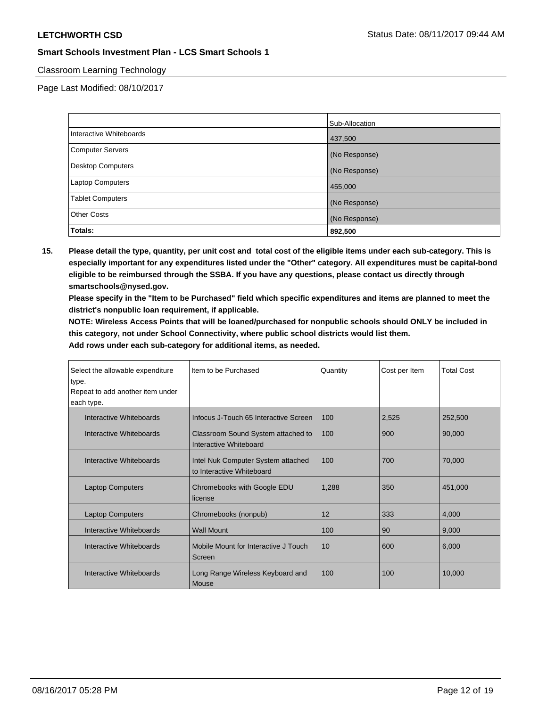## Classroom Learning Technology

Page Last Modified: 08/10/2017

|                         | Sub-Allocation |
|-------------------------|----------------|
| Interactive Whiteboards | 437,500        |
| Computer Servers        | (No Response)  |
| Desktop Computers       | (No Response)  |
| Laptop Computers        | 455,000        |
| <b>Tablet Computers</b> | (No Response)  |
| <b>Other Costs</b>      | (No Response)  |
| Totals:                 | 892,500        |

**15. Please detail the type, quantity, per unit cost and total cost of the eligible items under each sub-category. This is especially important for any expenditures listed under the "Other" category. All expenditures must be capital-bond eligible to be reimbursed through the SSBA. If you have any questions, please contact us directly through smartschools@nysed.gov.**

**Please specify in the "Item to be Purchased" field which specific expenditures and items are planned to meet the district's nonpublic loan requirement, if applicable.**

**NOTE: Wireless Access Points that will be loaned/purchased for nonpublic schools should ONLY be included in this category, not under School Connectivity, where public school districts would list them.**

| Select the allowable expenditure<br>type.<br>Repeat to add another item under<br>each type. | Item to be Purchased                                            | Quantity | Cost per Item | <b>Total Cost</b> |
|---------------------------------------------------------------------------------------------|-----------------------------------------------------------------|----------|---------------|-------------------|
| Interactive Whiteboards                                                                     | Infocus J-Touch 65 Interactive Screen                           | 100      | 2,525         | 252,500           |
| Interactive Whiteboards                                                                     | Classroom Sound System attached to<br>Interactive Whiteboard    | 100      | 900           | 90,000            |
| Interactive Whiteboards                                                                     | Intel Nuk Computer System attached<br>to Interactive Whiteboard | 100      | 700           | 70,000            |
| <b>Laptop Computers</b>                                                                     | Chromebooks with Google EDU<br>license                          | 1,288    | 350           | 451,000           |
| <b>Laptop Computers</b>                                                                     | Chromebooks (nonpub)                                            | 12       | 333           | 4,000             |
| Interactive Whiteboards                                                                     | <b>Wall Mount</b>                                               | 100      | 90            | 9,000             |
| Interactive Whiteboards                                                                     | Mobile Mount for Interactive J Touch<br>Screen                  | 10       | 600           | 6,000             |
| Interactive Whiteboards                                                                     | Long Range Wireless Keyboard and<br>Mouse                       | 100      | 100           | 10,000            |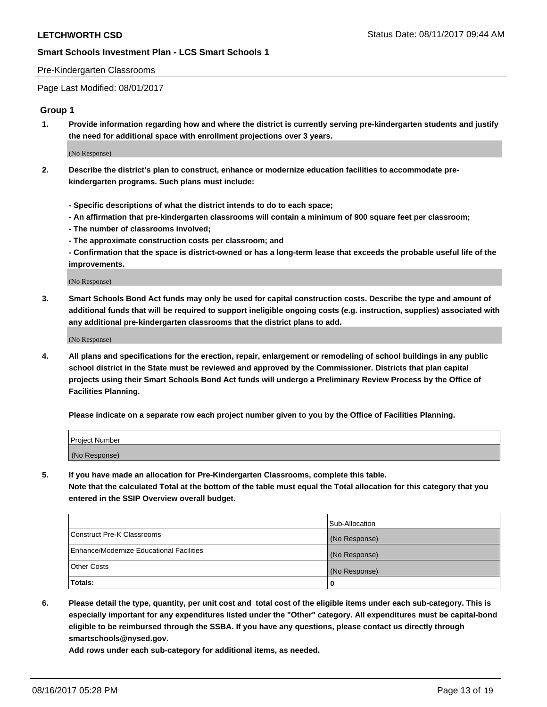#### Pre-Kindergarten Classrooms

Page Last Modified: 08/01/2017

### **Group 1**

**1. Provide information regarding how and where the district is currently serving pre-kindergarten students and justify the need for additional space with enrollment projections over 3 years.**

(No Response)

- **2. Describe the district's plan to construct, enhance or modernize education facilities to accommodate prekindergarten programs. Such plans must include:**
	- **Specific descriptions of what the district intends to do to each space;**
	- **An affirmation that pre-kindergarten classrooms will contain a minimum of 900 square feet per classroom;**
	- **The number of classrooms involved;**
	- **The approximate construction costs per classroom; and**
	- **Confirmation that the space is district-owned or has a long-term lease that exceeds the probable useful life of the improvements.**

(No Response)

**3. Smart Schools Bond Act funds may only be used for capital construction costs. Describe the type and amount of additional funds that will be required to support ineligible ongoing costs (e.g. instruction, supplies) associated with any additional pre-kindergarten classrooms that the district plans to add.**

(No Response)

**4. All plans and specifications for the erection, repair, enlargement or remodeling of school buildings in any public school district in the State must be reviewed and approved by the Commissioner. Districts that plan capital projects using their Smart Schools Bond Act funds will undergo a Preliminary Review Process by the Office of Facilities Planning.**

**Please indicate on a separate row each project number given to you by the Office of Facilities Planning.**

| Project Number |  |
|----------------|--|
| (No Response)  |  |

**5. If you have made an allocation for Pre-Kindergarten Classrooms, complete this table. Note that the calculated Total at the bottom of the table must equal the Total allocation for this category that you entered in the SSIP Overview overall budget.**

| Totals:                                  | 0              |
|------------------------------------------|----------------|
| Other Costs                              | (No Response)  |
| Enhance/Modernize Educational Facilities | (No Response)  |
| Construct Pre-K Classrooms               | (No Response)  |
|                                          | Sub-Allocation |

**6. Please detail the type, quantity, per unit cost and total cost of the eligible items under each sub-category. This is especially important for any expenditures listed under the "Other" category. All expenditures must be capital-bond eligible to be reimbursed through the SSBA. If you have any questions, please contact us directly through smartschools@nysed.gov.**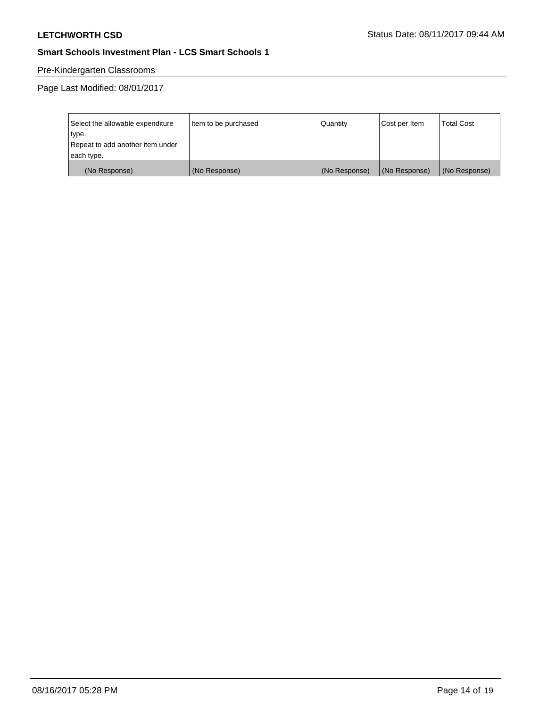# Pre-Kindergarten Classrooms

Page Last Modified: 08/01/2017

| Select the allowable expenditure | Item to be purchased | Quantity      | Cost per Item | <b>Total Cost</b> |
|----------------------------------|----------------------|---------------|---------------|-------------------|
| type.                            |                      |               |               |                   |
| Repeat to add another item under |                      |               |               |                   |
| each type.                       |                      |               |               |                   |
| (No Response)                    | (No Response)        | (No Response) | (No Response) | (No Response)     |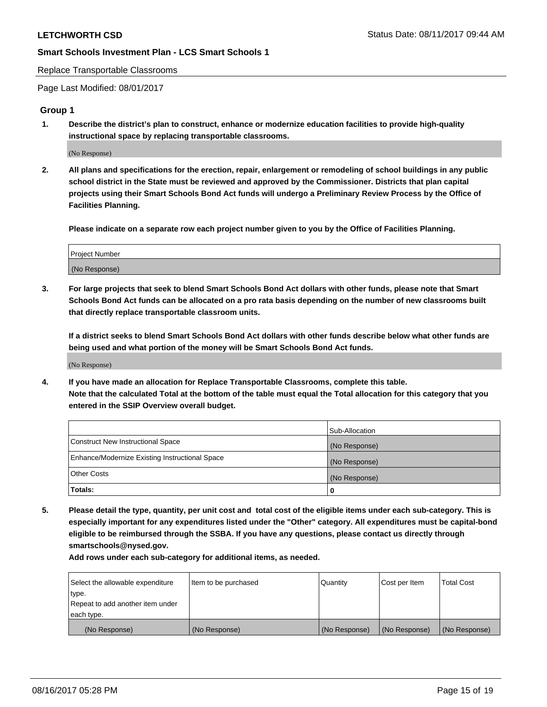Replace Transportable Classrooms

Page Last Modified: 08/01/2017

### **Group 1**

**1. Describe the district's plan to construct, enhance or modernize education facilities to provide high-quality instructional space by replacing transportable classrooms.**

(No Response)

**2. All plans and specifications for the erection, repair, enlargement or remodeling of school buildings in any public school district in the State must be reviewed and approved by the Commissioner. Districts that plan capital projects using their Smart Schools Bond Act funds will undergo a Preliminary Review Process by the Office of Facilities Planning.**

**Please indicate on a separate row each project number given to you by the Office of Facilities Planning.**

| Project Number |  |
|----------------|--|
| (No Response)  |  |

**3. For large projects that seek to blend Smart Schools Bond Act dollars with other funds, please note that Smart Schools Bond Act funds can be allocated on a pro rata basis depending on the number of new classrooms built that directly replace transportable classroom units.**

**If a district seeks to blend Smart Schools Bond Act dollars with other funds describe below what other funds are being used and what portion of the money will be Smart Schools Bond Act funds.**

(No Response)

**4. If you have made an allocation for Replace Transportable Classrooms, complete this table. Note that the calculated Total at the bottom of the table must equal the Total allocation for this category that you entered in the SSIP Overview overall budget.**

|                                                | Sub-Allocation |
|------------------------------------------------|----------------|
| Construct New Instructional Space              | (No Response)  |
| Enhance/Modernize Existing Instructional Space | (No Response)  |
| Other Costs                                    | (No Response)  |
| Totals:                                        | $\Omega$       |

**5. Please detail the type, quantity, per unit cost and total cost of the eligible items under each sub-category. This is especially important for any expenditures listed under the "Other" category. All expenditures must be capital-bond eligible to be reimbursed through the SSBA. If you have any questions, please contact us directly through smartschools@nysed.gov.**

| Select the allowable expenditure | Item to be purchased | Quantity      | Cost per Item | <b>Total Cost</b> |
|----------------------------------|----------------------|---------------|---------------|-------------------|
| type.                            |                      |               |               |                   |
| Repeat to add another item under |                      |               |               |                   |
| each type.                       |                      |               |               |                   |
| (No Response)                    | (No Response)        | (No Response) | (No Response) | (No Response)     |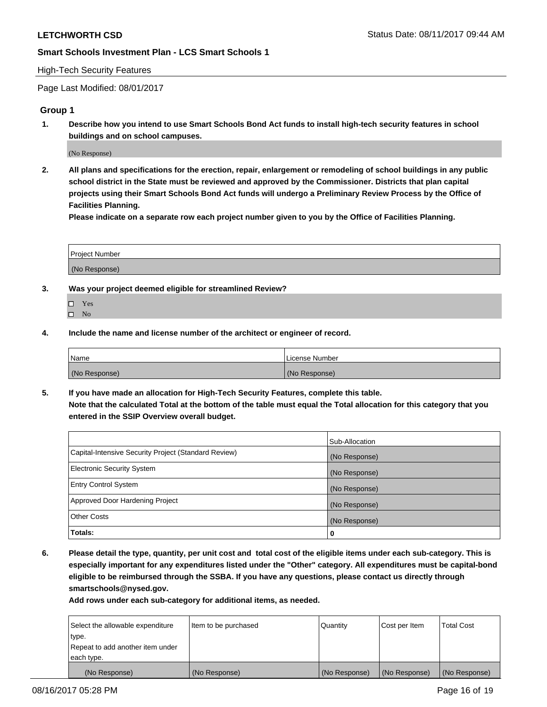## High-Tech Security Features

Page Last Modified: 08/01/2017

## **Group 1**

**1. Describe how you intend to use Smart Schools Bond Act funds to install high-tech security features in school buildings and on school campuses.**

(No Response)

**2. All plans and specifications for the erection, repair, enlargement or remodeling of school buildings in any public school district in the State must be reviewed and approved by the Commissioner. Districts that plan capital projects using their Smart Schools Bond Act funds will undergo a Preliminary Review Process by the Office of Facilities Planning.** 

**Please indicate on a separate row each project number given to you by the Office of Facilities Planning.**

| Project Number |  |
|----------------|--|
|                |  |
| (No Response)  |  |

- **3. Was your project deemed eligible for streamlined Review?**
	- Yes  $\hfill \square$  No
- **4. Include the name and license number of the architect or engineer of record.**

| Name          | License Number |
|---------------|----------------|
| (No Response) | (No Response)  |

**5. If you have made an allocation for High-Tech Security Features, complete this table. Note that the calculated Total at the bottom of the table must equal the Total allocation for this category that you entered in the SSIP Overview overall budget.**

|                                                      | Sub-Allocation |
|------------------------------------------------------|----------------|
| Capital-Intensive Security Project (Standard Review) | (No Response)  |
| <b>Electronic Security System</b>                    | (No Response)  |
| <b>Entry Control System</b>                          | (No Response)  |
| Approved Door Hardening Project                      | (No Response)  |
| <b>Other Costs</b>                                   | (No Response)  |
| Totals:                                              | 0              |

**6. Please detail the type, quantity, per unit cost and total cost of the eligible items under each sub-category. This is especially important for any expenditures listed under the "Other" category. All expenditures must be capital-bond eligible to be reimbursed through the SSBA. If you have any questions, please contact us directly through smartschools@nysed.gov.**

| (No Response)                    | (No Response)        | (No Response) | (No Response) | (No Response)     |
|----------------------------------|----------------------|---------------|---------------|-------------------|
| each type.                       |                      |               |               |                   |
| Repeat to add another item under |                      |               |               |                   |
| type.                            |                      |               |               |                   |
| Select the allowable expenditure | Item to be purchased | Quantity      | Cost per Item | <b>Total Cost</b> |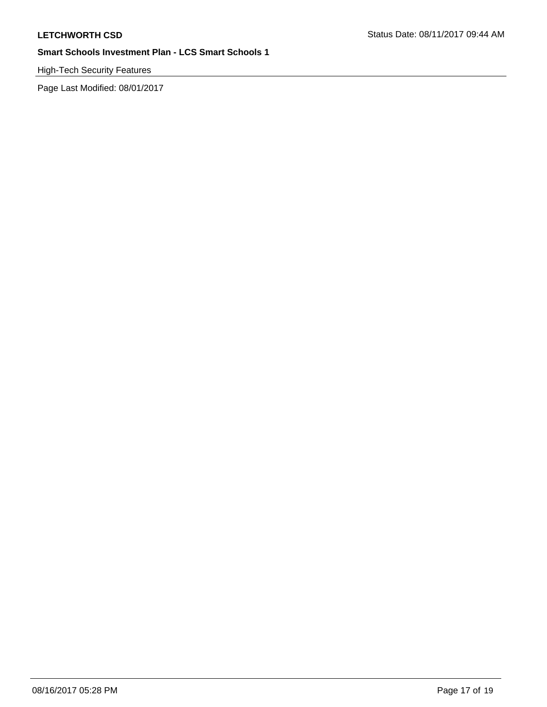High-Tech Security Features

Page Last Modified: 08/01/2017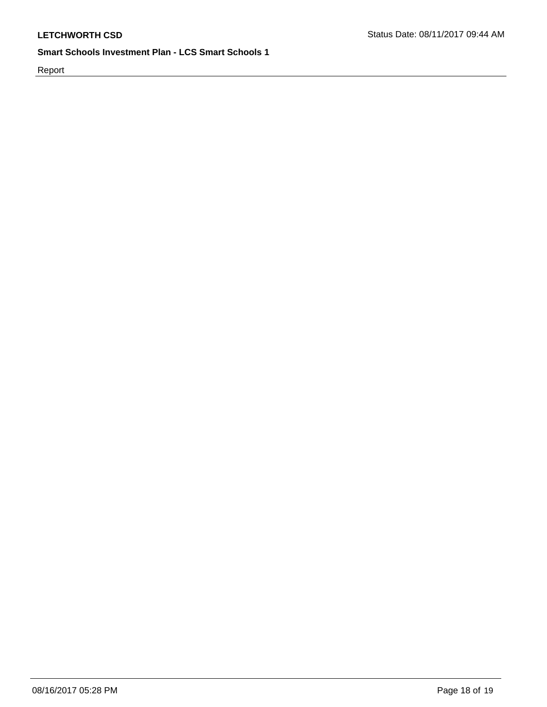Report